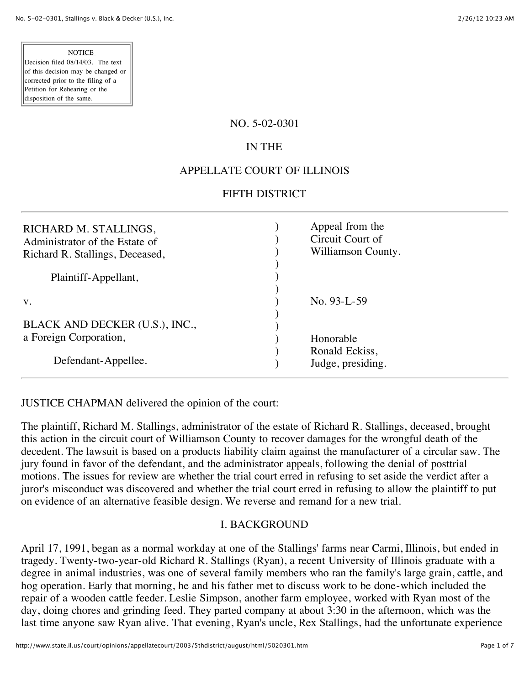#### **NOTICE**

Decision filed 08/14/03. The text of this decision may be changed or corrected prior to the filing of a Petition for Rehearing or the disposition of the same.

#### NO. 5-02-0301

# IN THE

## APPELLATE COURT OF ILLINOIS

#### FIFTH DISTRICT

| RICHARD M. STALLINGS,<br>Administrator of the Estate of<br>Richard R. Stallings, Deceased, | Appeal from the<br>Circuit Court of<br>Williamson County. |
|--------------------------------------------------------------------------------------------|-----------------------------------------------------------|
| Plaintiff-Appellant,                                                                       |                                                           |
| V.                                                                                         | No. $93-L-59$                                             |
| BLACK AND DECKER (U.S.), INC.,                                                             |                                                           |
| a Foreign Corporation,                                                                     | Honorable                                                 |
| Defendant-Appellee.                                                                        | Ronald Eckiss,<br>Judge, presiding.                       |

JUSTICE CHAPMAN delivered the opinion of the court:

The plaintiff, Richard M. Stallings, administrator of the estate of Richard R. Stallings, deceased, brought this action in the circuit court of Williamson County to recover damages for the wrongful death of the decedent. The lawsuit is based on a products liability claim against the manufacturer of a circular saw. The jury found in favor of the defendant, and the administrator appeals, following the denial of posttrial motions. The issues for review are whether the trial court erred in refusing to set aside the verdict after a juror's misconduct was discovered and whether the trial court erred in refusing to allow the plaintiff to put on evidence of an alternative feasible design. We reverse and remand for a new trial.

### I. BACKGROUND

April 17, 1991, began as a normal workday at one of the Stallings' farms near Carmi, Illinois, but ended in tragedy. Twenty-two-year-old Richard R. Stallings (Ryan), a recent University of Illinois graduate with a degree in animal industries, was one of several family members who ran the family's large grain, cattle, and hog operation. Early that morning, he and his father met to discuss work to be done-which included the repair of a wooden cattle feeder. Leslie Simpson, another farm employee, worked with Ryan most of the day, doing chores and grinding feed. They parted company at about 3:30 in the afternoon, which was the last time anyone saw Ryan alive. That evening, Ryan's uncle, Rex Stallings, had the unfortunate experience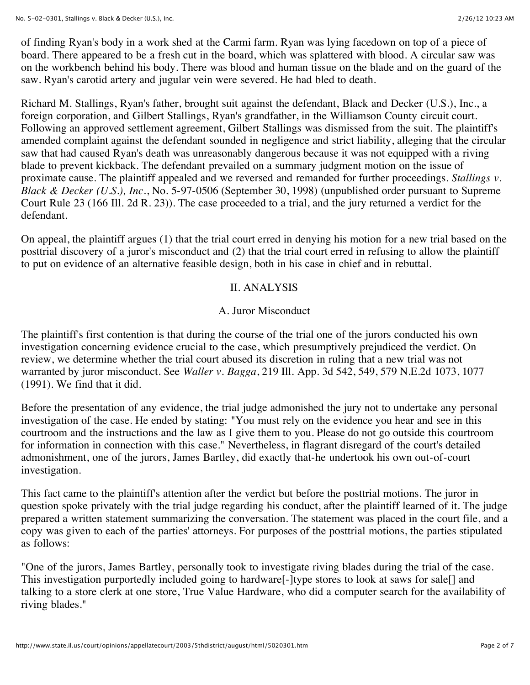of finding Ryan's body in a work shed at the Carmi farm. Ryan was lying facedown on top of a piece of board. There appeared to be a fresh cut in the board, which was splattered with blood. A circular saw was on the workbench behind his body. There was blood and human tissue on the blade and on the guard of the saw. Ryan's carotid artery and jugular vein were severed. He had bled to death.

Richard M. Stallings, Ryan's father, brought suit against the defendant, Black and Decker (U.S.), Inc., a foreign corporation, and Gilbert Stallings, Ryan's grandfather, in the Williamson County circuit court. Following an approved settlement agreement, Gilbert Stallings was dismissed from the suit. The plaintiff's amended complaint against the defendant sounded in negligence and strict liability, alleging that the circular saw that had caused Ryan's death was unreasonably dangerous because it was not equipped with a riving blade to prevent kickback. The defendant prevailed on a summary judgment motion on the issue of proximate cause. The plaintiff appealed and we reversed and remanded for further proceedings. *Stallings v. Black & Decker (U.S.), Inc.*, No. 5-97-0506 (September 30, 1998) (unpublished order pursuant to Supreme Court Rule 23 (166 Ill. 2d R. 23)). The case proceeded to a trial, and the jury returned a verdict for the defendant.

On appeal, the plaintiff argues (1) that the trial court erred in denying his motion for a new trial based on the posttrial discovery of a juror's misconduct and (2) that the trial court erred in refusing to allow the plaintiff to put on evidence of an alternative feasible design, both in his case in chief and in rebuttal.

### II. ANALYSIS

### A. Juror Misconduct

The plaintiff's first contention is that during the course of the trial one of the jurors conducted his own investigation concerning evidence crucial to the case, which presumptively prejudiced the verdict. On review, we determine whether the trial court abused its discretion in ruling that a new trial was not warranted by juror misconduct. See *Waller v. Bagga*, 219 Ill. App. 3d 542, 549, 579 N.E.2d 1073, 1077 (1991). We find that it did.

Before the presentation of any evidence, the trial judge admonished the jury not to undertake any personal investigation of the case. He ended by stating: "You must rely on the evidence you hear and see in this courtroom and the instructions and the law as I give them to you. Please do not go outside this courtroom for information in connection with this case." Nevertheless, in flagrant disregard of the court's detailed admonishment, one of the jurors, James Bartley, did exactly that-he undertook his own out-of-court investigation.

This fact came to the plaintiff's attention after the verdict but before the posttrial motions. The juror in question spoke privately with the trial judge regarding his conduct, after the plaintiff learned of it. The judge prepared a written statement summarizing the conversation. The statement was placed in the court file, and a copy was given to each of the parties' attorneys. For purposes of the posttrial motions, the parties stipulated as follows:

"One of the jurors, James Bartley, personally took to investigate riving blades during the trial of the case. This investigation purportedly included going to hardware[-]type stores to look at saws for sale[] and talking to a store clerk at one store, True Value Hardware, who did a computer search for the availability of riving blades."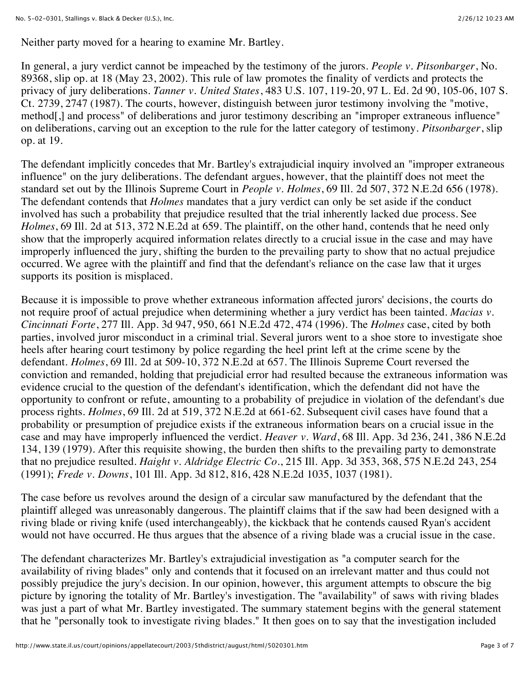Neither party moved for a hearing to examine Mr. Bartley.

In general, a jury verdict cannot be impeached by the testimony of the jurors. *People v. Pitsonbarger*, No. 89368, slip op. at 18 (May 23, 2002). This rule of law promotes the finality of verdicts and protects the privacy of jury deliberations. *Tanner v. United States*, 483 U.S. 107, 119-20, 97 L. Ed. 2d 90, 105-06, 107 S. Ct. 2739, 2747 (1987). The courts, however, distinguish between juror testimony involving the "motive, method[,] and process" of deliberations and juror testimony describing an "improper extraneous influence" on deliberations, carving out an exception to the rule for the latter category of testimony. *Pitsonbarger*, slip op. at 19.

The defendant implicitly concedes that Mr. Bartley's extrajudicial inquiry involved an "improper extraneous influence" on the jury deliberations. The defendant argues, however, that the plaintiff does not meet the standard set out by the Illinois Supreme Court in *People v. Holmes*, 69 Ill. 2d 507, 372 N.E.2d 656 (1978). The defendant contends that *Holmes* mandates that a jury verdict can only be set aside if the conduct involved has such a probability that prejudice resulted that the trial inherently lacked due process. See *Holmes*, 69 Ill. 2d at 513, 372 N.E.2d at 659. The plaintiff, on the other hand, contends that he need only show that the improperly acquired information relates directly to a crucial issue in the case and may have improperly influenced the jury, shifting the burden to the prevailing party to show that no actual prejudice occurred. We agree with the plaintiff and find that the defendant's reliance on the case law that it urges supports its position is misplaced.

Because it is impossible to prove whether extraneous information affected jurors' decisions, the courts do not require proof of actual prejudice when determining whether a jury verdict has been tainted. *Macias v. Cincinnati Forte*, 277 Ill. App. 3d 947, 950, 661 N.E.2d 472, 474 (1996). The *Holmes* case, cited by both parties, involved juror misconduct in a criminal trial. Several jurors went to a shoe store to investigate shoe heels after hearing court testimony by police regarding the heel print left at the crime scene by the defendant. *Holmes*, 69 Ill. 2d at 509-10, 372 N.E.2d at 657. The Illinois Supreme Court reversed the conviction and remanded, holding that prejudicial error had resulted because the extraneous information was evidence crucial to the question of the defendant's identification, which the defendant did not have the opportunity to confront or refute, amounting to a probability of prejudice in violation of the defendant's due process rights. *Holmes*, 69 Ill. 2d at 519, 372 N.E.2d at 661-62. Subsequent civil cases have found that a probability or presumption of prejudice exists if the extraneous information bears on a crucial issue in the case and may have improperly influenced the verdict. *Heaver v. Ward*, 68 Ill. App. 3d 236, 241, 386 N.E.2d 134, 139 (1979). After this requisite showing, the burden then shifts to the prevailing party to demonstrate that no prejudice resulted. *Haight v. Aldridge Electric Co.*, 215 Ill. App. 3d 353, 368, 575 N.E.2d 243, 254 (1991); *Frede v. Downs*, 101 Ill. App. 3d 812, 816, 428 N.E.2d 1035, 1037 (1981).

The case before us revolves around the design of a circular saw manufactured by the defendant that the plaintiff alleged was unreasonably dangerous. The plaintiff claims that if the saw had been designed with a riving blade or riving knife (used interchangeably), the kickback that he contends caused Ryan's accident would not have occurred. He thus argues that the absence of a riving blade was a crucial issue in the case.

The defendant characterizes Mr. Bartley's extrajudicial investigation as "a computer search for the availability of riving blades" only and contends that it focused on an irrelevant matter and thus could not possibly prejudice the jury's decision. In our opinion, however, this argument attempts to obscure the big picture by ignoring the totality of Mr. Bartley's investigation. The "availability" of saws with riving blades was just a part of what Mr. Bartley investigated. The summary statement begins with the general statement that he "personally took to investigate riving blades." It then goes on to say that the investigation included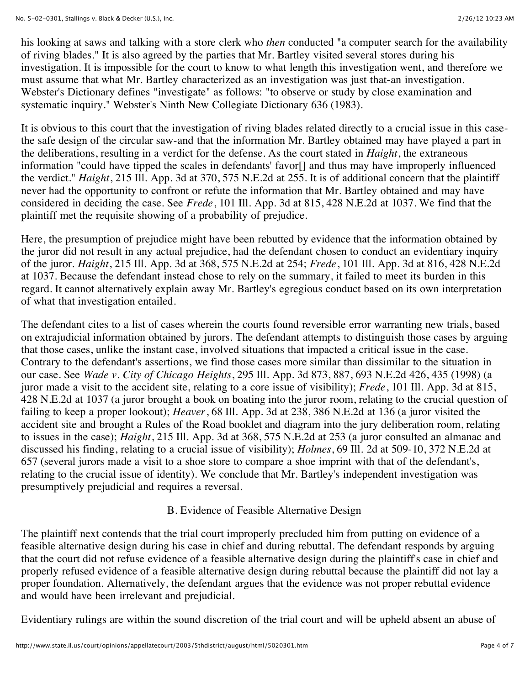his looking at saws and talking with a store clerk who *then* conducted "a computer search for the availability of riving blades." It is also agreed by the parties that Mr. Bartley visited several stores during his investigation. It is impossible for the court to know to what length this investigation went, and therefore we must assume that what Mr. Bartley characterized as an investigation was just that-an investigation. Webster's Dictionary defines "investigate" as follows: "to observe or study by close examination and systematic inquiry." Webster's Ninth New Collegiate Dictionary 636 (1983).

It is obvious to this court that the investigation of riving blades related directly to a crucial issue in this casethe safe design of the circular saw-and that the information Mr. Bartley obtained may have played a part in the deliberations, resulting in a verdict for the defense. As the court stated in *Haight*, the extraneous information "could have tipped the scales in defendants' favor[] and thus may have improperly influenced the verdict." *Haight*, 215 Ill. App. 3d at 370, 575 N.E.2d at 255. It is of additional concern that the plaintiff never had the opportunity to confront or refute the information that Mr. Bartley obtained and may have considered in deciding the case. See *Frede*, 101 Ill. App. 3d at 815, 428 N.E.2d at 1037. We find that the plaintiff met the requisite showing of a probability of prejudice.

Here, the presumption of prejudice might have been rebutted by evidence that the information obtained by the juror did not result in any actual prejudice, had the defendant chosen to conduct an evidentiary inquiry of the juror. *Haight*, 215 Ill. App. 3d at 368, 575 N.E.2d at 254; *Frede*, 101 Ill. App. 3d at 816, 428 N.E.2d at 1037. Because the defendant instead chose to rely on the summary, it failed to meet its burden in this regard. It cannot alternatively explain away Mr. Bartley's egregious conduct based on its own interpretation of what that investigation entailed.

The defendant cites to a list of cases wherein the courts found reversible error warranting new trials, based on extrajudicial information obtained by jurors. The defendant attempts to distinguish those cases by arguing that those cases, unlike the instant case, involved situations that impacted a critical issue in the case. Contrary to the defendant's assertions, we find those cases more similar than dissimilar to the situation in our case. See *Wade v. City of Chicago Heights*, 295 Ill. App. 3d 873, 887, 693 N.E.2d 426, 435 (1998) (a juror made a visit to the accident site, relating to a core issue of visibility); *Frede*, 101 Ill. App. 3d at 815, 428 N.E.2d at 1037 (a juror brought a book on boating into the juror room, relating to the crucial question of failing to keep a proper lookout); *Heaver*, 68 Ill. App. 3d at 238, 386 N.E.2d at 136 (a juror visited the accident site and brought a Rules of the Road booklet and diagram into the jury deliberation room, relating to issues in the case); *Haight*, 215 Ill. App. 3d at 368, 575 N.E.2d at 253 (a juror consulted an almanac and discussed his finding, relating to a crucial issue of visibility); *Holmes*, 69 Ill. 2d at 509-10, 372 N.E.2d at 657 (several jurors made a visit to a shoe store to compare a shoe imprint with that of the defendant's, relating to the crucial issue of identity). We conclude that Mr. Bartley's independent investigation was presumptively prejudicial and requires a reversal.

### B. Evidence of Feasible Alternative Design

The plaintiff next contends that the trial court improperly precluded him from putting on evidence of a feasible alternative design during his case in chief and during rebuttal. The defendant responds by arguing that the court did not refuse evidence of a feasible alternative design during the plaintiff's case in chief and properly refused evidence of a feasible alternative design during rebuttal because the plaintiff did not lay a proper foundation. Alternatively, the defendant argues that the evidence was not proper rebuttal evidence and would have been irrelevant and prejudicial.

Evidentiary rulings are within the sound discretion of the trial court and will be upheld absent an abuse of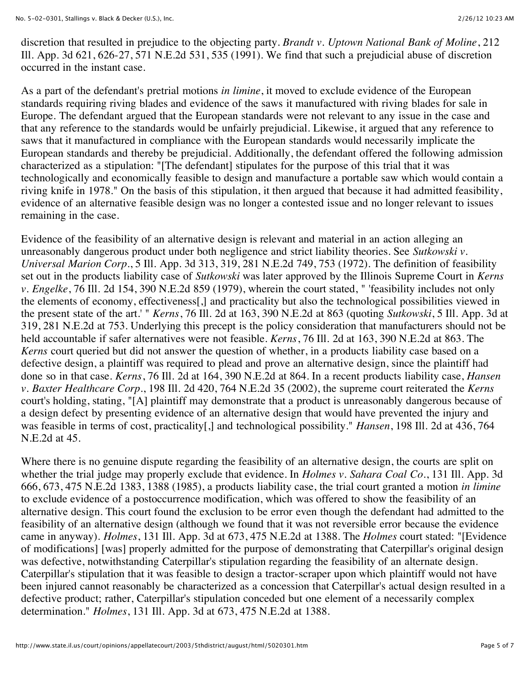discretion that resulted in prejudice to the objecting party. *Brandt v. Uptown National Bank of Moline*, 212 Ill. App. 3d 621, 626-27, 571 N.E.2d 531, 535 (1991). We find that such a prejudicial abuse of discretion occurred in the instant case.

As a part of the defendant's pretrial motions *in limine*, it moved to exclude evidence of the European standards requiring riving blades and evidence of the saws it manufactured with riving blades for sale in Europe. The defendant argued that the European standards were not relevant to any issue in the case and that any reference to the standards would be unfairly prejudicial. Likewise, it argued that any reference to saws that it manufactured in compliance with the European standards would necessarily implicate the European standards and thereby be prejudicial. Additionally, the defendant offered the following admission characterized as a stipulation: "[The defendant] stipulates for the purpose of this trial that it was technologically and economically feasible to design and manufacture a portable saw which would contain a riving knife in 1978." On the basis of this stipulation, it then argued that because it had admitted feasibility, evidence of an alternative feasible design was no longer a contested issue and no longer relevant to issues remaining in the case.

Evidence of the feasibility of an alternative design is relevant and material in an action alleging an unreasonably dangerous product under both negligence and strict liability theories. See *Sutkowski v. Universal Marion Corp.*, 5 Ill. App. 3d 313, 319, 281 N.E.2d 749, 753 (1972). The definition of feasibility set out in the products liability case of *Sutkowski* was later approved by the Illinois Supreme Court in *Kerns v. Engelke*, 76 Ill. 2d 154, 390 N.E.2d 859 (1979), wherein the court stated, " 'feasibility includes not only the elements of economy, effectiveness[,] and practicality but also the technological possibilities viewed in the present state of the art.' " *Kerns*, 76 Ill. 2d at 163, 390 N.E.2d at 863 (quoting *Sutkowski*, 5 Ill. App. 3d at 319, 281 N.E.2d at 753. Underlying this precept is the policy consideration that manufacturers should not be held accountable if safer alternatives were not feasible. *Kerns*, 76 Ill. 2d at 163, 390 N.E.2d at 863. The *Kerns* court queried but did not answer the question of whether, in a products liability case based on a defective design, a plaintiff was required to plead and prove an alternative design, since the plaintiff had done so in that case. *Kerns*, 76 Ill. 2d at 164, 390 N.E.2d at 864. In a recent products liability case, *Hansen v. Baxter Healthcare Corp.*, 198 Ill. 2d 420, 764 N.E.2d 35 (2002), the supreme court reiterated the *Kerns* court's holding, stating, "[A] plaintiff may demonstrate that a product is unreasonably dangerous because of a design defect by presenting evidence of an alternative design that would have prevented the injury and was feasible in terms of cost, practicality[,] and technological possibility." *Hansen*, 198 Ill. 2d at 436, 764 N.E.2d at 45.

Where there is no genuine dispute regarding the feasibility of an alternative design, the courts are split on whether the trial judge may properly exclude that evidence. In *Holmes v. Sahara Coal Co.*, 131 Ill. App. 3d 666, 673, 475 N.E.2d 1383, 1388 (1985), a products liability case, the trial court granted a motion *in limine* to exclude evidence of a postoccurrence modification, which was offered to show the feasibility of an alternative design. This court found the exclusion to be error even though the defendant had admitted to the feasibility of an alternative design (although we found that it was not reversible error because the evidence came in anyway). *Holmes*, 131 Ill. App. 3d at 673, 475 N.E.2d at 1388. The *Holmes* court stated: "[Evidence of modifications] [was] properly admitted for the purpose of demonstrating that Caterpillar's original design was defective, notwithstanding Caterpillar's stipulation regarding the feasibility of an alternate design. Caterpillar's stipulation that it was feasible to design a tractor-scraper upon which plaintiff would not have been injured cannot reasonably be characterized as a concession that Caterpillar's actual design resulted in a defective product; rather, Caterpillar's stipulation conceded but one element of a necessarily complex determination." *Holmes*, 131 Ill. App. 3d at 673, 475 N.E.2d at 1388.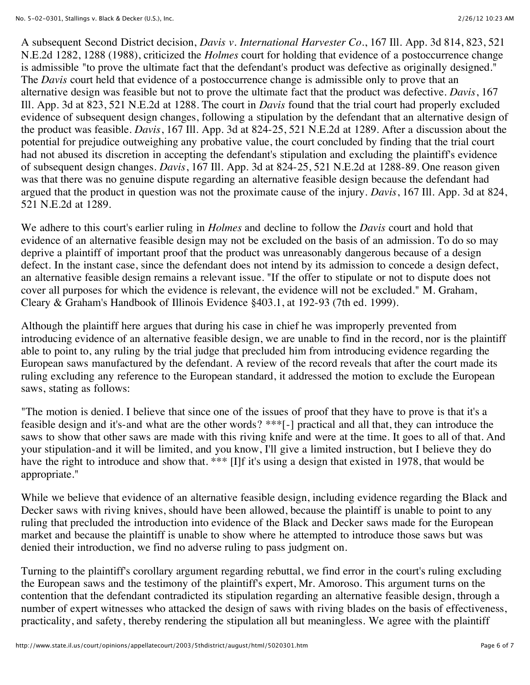A subsequent Second District decision, *Davis v. International Harvester Co.*, 167 Ill. App. 3d 814, 823, 521 N.E.2d 1282, 1288 (1988), criticized the *Holmes* court for holding that evidence of a postoccurrence change is admissible "to prove the ultimate fact that the defendant's product was defective as originally designed." The *Davis* court held that evidence of a postoccurrence change is admissible only to prove that an alternative design was feasible but not to prove the ultimate fact that the product was defective. *Davis*, 167 Ill. App. 3d at 823, 521 N.E.2d at 1288. The court in *Davis* found that the trial court had properly excluded evidence of subsequent design changes, following a stipulation by the defendant that an alternative design of the product was feasible. *Davis*, 167 Ill. App. 3d at 824-25, 521 N.E.2d at 1289. After a discussion about the potential for prejudice outweighing any probative value, the court concluded by finding that the trial court had not abused its discretion in accepting the defendant's stipulation and excluding the plaintiff's evidence of subsequent design changes. *Davis*, 167 Ill. App. 3d at 824-25, 521 N.E.2d at 1288-89. One reason given was that there was no genuine dispute regarding an alternative feasible design because the defendant had argued that the product in question was not the proximate cause of the injury. *Davis*, 167 Ill. App. 3d at 824, 521 N.E.2d at 1289.

We adhere to this court's earlier ruling in *Holmes* and decline to follow the *Davis* court and hold that evidence of an alternative feasible design may not be excluded on the basis of an admission. To do so may deprive a plaintiff of important proof that the product was unreasonably dangerous because of a design defect. In the instant case, since the defendant does not intend by its admission to concede a design defect, an alternative feasible design remains a relevant issue. "If the offer to stipulate or not to dispute does not cover all purposes for which the evidence is relevant, the evidence will not be excluded." M. Graham, Cleary & Graham's Handbook of Illinois Evidence §403.1, at 192-93 (7th ed. 1999).

Although the plaintiff here argues that during his case in chief he was improperly prevented from introducing evidence of an alternative feasible design, we are unable to find in the record, nor is the plaintiff able to point to, any ruling by the trial judge that precluded him from introducing evidence regarding the European saws manufactured by the defendant. A review of the record reveals that after the court made its ruling excluding any reference to the European standard, it addressed the motion to exclude the European saws, stating as follows:

"The motion is denied. I believe that since one of the issues of proof that they have to prove is that it's a feasible design and it's-and what are the other words? \*\*\*[-] practical and all that, they can introduce the saws to show that other saws are made with this riving knife and were at the time. It goes to all of that. And your stipulation-and it will be limited, and you know, I'll give a limited instruction, but I believe they do have the right to introduce and show that. \*\*\* [I]f it's using a design that existed in 1978, that would be appropriate."

While we believe that evidence of an alternative feasible design, including evidence regarding the Black and Decker saws with riving knives, should have been allowed, because the plaintiff is unable to point to any ruling that precluded the introduction into evidence of the Black and Decker saws made for the European market and because the plaintiff is unable to show where he attempted to introduce those saws but was denied their introduction, we find no adverse ruling to pass judgment on.

Turning to the plaintiff's corollary argument regarding rebuttal, we find error in the court's ruling excluding the European saws and the testimony of the plaintiff's expert, Mr. Amoroso. This argument turns on the contention that the defendant contradicted its stipulation regarding an alternative feasible design, through a number of expert witnesses who attacked the design of saws with riving blades on the basis of effectiveness, practicality, and safety, thereby rendering the stipulation all but meaningless. We agree with the plaintiff